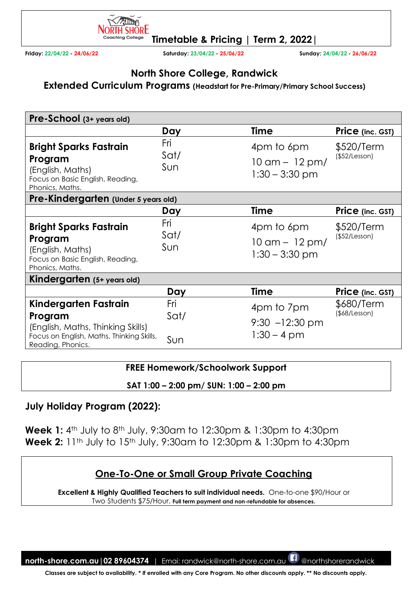

**Friday: 22/04/22 - 24/06/22 Saturday: 23/04/22 - 25/06/22 Sunday: 24/04/22 - 26/06/22** 

### **North Shore College, Randwick**

**Extended Curriculum Programs (Headstart for Pre-Primary/Primary School Success)** 

| Pre-School (3+ years old)                                                                                                               |                    |                                                                   |                                   |
|-----------------------------------------------------------------------------------------------------------------------------------------|--------------------|-------------------------------------------------------------------|-----------------------------------|
|                                                                                                                                         | Day                | <b>Time</b>                                                       | Price (inc. GST)                  |
| <b>Bright Sparks Fastrain</b><br>Program<br>(English, Maths)<br>Focus on Basic English, Reading,<br>Phonics, Maths.                     | Fri<br>Sat/<br>Sun | 4pm to 6pm<br>$10 \text{ cm} - 12 \text{ pm}$<br>$1:30 - 3:30$ pm | \$520/Term<br>(\$52/Lesson)       |
| Pre-Kindergarten (Under 5 years old)                                                                                                    |                    |                                                                   |                                   |
|                                                                                                                                         | Day                | <b>Time</b>                                                       | Price (inc. GST)                  |
| <b>Bright Sparks Fastrain</b><br>Program<br>(English, Maths)<br>Focus on Basic English, Reading,<br>Phonics, Maths.                     | Fri<br>Sat/<br>Sun | 4pm to 6pm<br>$10 \text{ cm} - 12 \text{ pm}$<br>$1:30 - 3:30$ pm | \$520/Term<br>(\$52/Lesson)       |
| Kindergarten (5+ years old)                                                                                                             |                    |                                                                   |                                   |
|                                                                                                                                         | Day                | <b>Time</b>                                                       | Price (inc. GST)                  |
| Kindergarten Fastrain<br>Program<br>(English, Maths, Thinking Skills)<br>Focus on English, Maths, Thinking Skills,<br>Reading, Phonics. | Fri<br>Sat/<br>Sun | 4pm to 7pm<br>$9:30 -12:30 \text{ pm}$<br>$1:30 - 4$ pm           | \$680/Term<br>$($ \$68/Lesson $)$ |

#### **FREE Homework/Schoolwork Support**

**SAT 1:00 – 2:00 pm/ SUN: 1:00 – 2:00 pm** 

**July Holiday Program (2022):**

**Week 1:** 4th July to 8th July, 9:30am to 12:30pm & 1:30pm to 4:30pm **Week 2:** 11<sup>th</sup> July to 15<sup>th</sup> July, 9:30am to 12:30pm & 1:30pm to 4:30pm

# **One-To-One or Small Group Private Coaching**

**Excellent & Highly Qualified Teachers to suit individual needs.** One-to-one \$90/Hour or Two Students \$75/Hour. **Full term payment and non-refundable for absences.**

**north-shore.com.au|02 89604374** | Emai: randwick@north-shore.com.au @northshorerandwick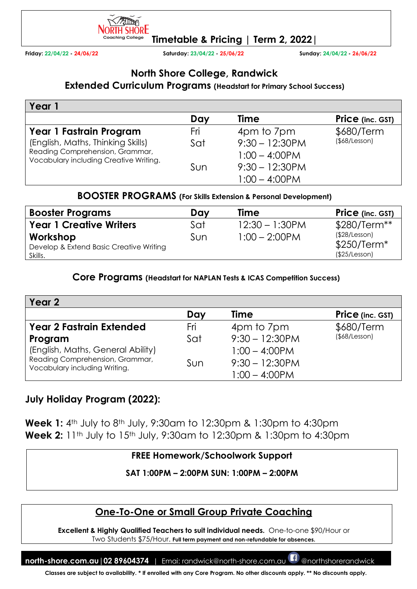

**Friday: 22/04/22 - 24/06/22 Saturday: 23/04/22 - 25/06/22 Sunday: 24/04/22 - 26/06/22** 

# **North Shore College, Randwick**

#### **Extended Curriculum Programs (Headstart for Primary School Success)**

| Year 1                                                                    |     |                   |                     |
|---------------------------------------------------------------------------|-----|-------------------|---------------------|
|                                                                           | Day | Time              | Price (inc. GST)    |
| Year 1 Fastrain Program                                                   | Fri | 4pm to 7pm        | \$680/Term          |
| (English, Maths, Thinking Skills)                                         | Sat | $9:30 - 12:30$ PM | $($ \$68/Lesson $)$ |
| Reading Comprehension, Grammar,<br>Vocabulary including Creative Writing. |     | $1:00 - 4:00$ PM  |                     |
|                                                                           | Sun | $9:30 - 12:30$ PM |                     |
|                                                                           |     | $1:00 - 4:00$ PM  |                     |

#### **BOOSTER PROGRAMS (For Skills Extension & Personal Development)**

| <b>Booster Programs</b>                             | Day | <b>Time</b>       | <b>Price</b> (inc. GST)       |
|-----------------------------------------------------|-----|-------------------|-------------------------------|
| <b>Year 1 Creative Writers</b>                      | Sat | $12:30 - 1:30$ PM | $$280/Term**$                 |
| Workshop<br>Develop & Extend Basic Creative Writing | Sun | $1:00 - 2:00$ PM  | (\$28/Lesson)<br>$$250/Term*$ |
| Skills.                                             |     |                   | (\$25/Lesson)                 |

#### **Core Programs (Headstart for NAPLAN Tests & ICAS Competition Success)**

| Year 2                                                           |     |                   |                         |
|------------------------------------------------------------------|-----|-------------------|-------------------------|
|                                                                  | Day | <b>Time</b>       | <b>Price</b> (inc. GST) |
| <b>Year 2 Fastrain Extended</b>                                  | Fri | 4pm to 7pm        | \$680/Term              |
| Program                                                          | Sat | $9:30 - 12:30$ PM | (\$8/Lesson)            |
| (English, Maths, General Ability)                                |     | $1:00 - 4:00$ PM  |                         |
| Reading Comprehension, Grammar,<br>Vocabulary including Writing. | Sun | $9:30 - 12:30$ PM |                         |
|                                                                  |     | $1:00 - 4:00$ PM  |                         |

## **July Holiday Program (2022):**

**Week 1:** 4th July to 8th July, 9:30am to 12:30pm & 1:30pm to 4:30pm **Week 2:** 11<sup>th</sup> July to 15<sup>th</sup> July, 9:30am to 12:30pm & 1:30pm to 4:30pm

### **FREE Homework/Schoolwork Support**

**SAT 1:00PM – 2:00PM SUN: 1:00PM – 2:00PM** 

# **One-To-One or Small Group Private Coaching**

**Excellent & Highly Qualified Teachers to suit individual needs.** One-to-one \$90/Hour or Two Students \$75/Hour. **Full term payment and non-refundable for absences.**

**north-shore.com.au|02 89604374** | Emai: randwick@north-shore.com.au @northshorerandwick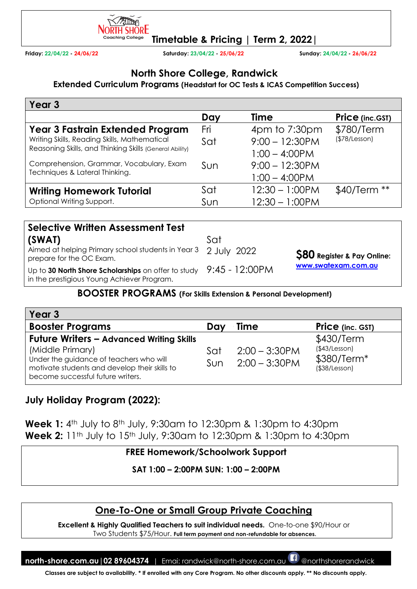

**Friday: 22/04/22 - 24/06/22 Saturday: 23/04/22 - 25/06/22 Sunday: 24/04/22 - 26/06/22** 

### **North Shore College, Randwick**

**Extended Curriculum Programs (Headstart for OC Tests & ICAS Competition Success)** 

| Year <sub>3</sub>                                       |     |                                   |                        |
|---------------------------------------------------------|-----|-----------------------------------|------------------------|
|                                                         | Day | Time                              | <b>Price (inc.GST)</b> |
| <b>Year 3 Fastrain Extended Program</b>                 | Fri | $4 \text{pm}$ to $7:30 \text{pm}$ | \$780/Term             |
| Writing Skills, Reading Skills, Mathematical            | Sat | $9:00 - 12:30PM$                  | (\$78/Lesson)          |
| Reasoning Skills, and Thinking Skills (General Ability) |     | $1:00 - 4:00$ PM                  |                        |
| Comprehension, Grammar, Vocabulary, Exam                | Sun | $9:00 - 12:30PM$                  |                        |
| Techniques & Lateral Thinking.                          |     | $1:00 - 4:00$ PM                  |                        |
| <b>Writing Homework Tutorial</b>                        | Sat | $12:30 - 1:00$ PM                 | \$40/Term **           |
| Optional Writing Support.                               | Sun | $12:30 - 1:00$ PM                 |                        |

| <b>Selective Written Assessment Test</b>                                                                         |     |                                   |  |  |
|------------------------------------------------------------------------------------------------------------------|-----|-----------------------------------|--|--|
| (SWAT)                                                                                                           | Sat |                                   |  |  |
| Aimed at helping Primary school students in Year 3 2 July 2022<br>prepare for the OC Exam.                       |     | <b>S80</b> Register & Pay Online: |  |  |
| Up to 30 North Shore Scholarships on offer to study 9:45 - 12:00PM<br>in the prestigious Young Achiever Program. |     | www.swatexam.com.au               |  |  |

#### **BOOSTER PROGRAMS (For Skills Extension & Personal Development)**

| Year 3                                                                                                                                                                                               |             |                                      |                                                                   |
|------------------------------------------------------------------------------------------------------------------------------------------------------------------------------------------------------|-------------|--------------------------------------|-------------------------------------------------------------------|
| <b>Booster Programs</b>                                                                                                                                                                              | Dav         | <b>Time</b>                          | <b>Price</b> (inc. GST)                                           |
| <b>Future Writers - Advanced Writing Skills</b><br>(Middle Primary)<br>Under the guidance of teachers who will<br>motivate students and develop their skills to<br>become successful future writers. | Sat<br>Sun. | $2:00 - 3:30$ PM<br>$2:00 - 3:30$ PM | \$430/Term<br>(\$43/Lesson)<br>\$380/Term*<br>$($ \$38/Lesson $)$ |

# **July Holiday Program (2022):**

**Week 1:** 4th July to 8th July, 9:30am to 12:30pm & 1:30pm to 4:30pm **Week 2:** 11<sup>th</sup> July to 15<sup>th</sup> July, 9:30am to 12:30pm & 1:30pm to 4:30pm

#### **FREE Homework/Schoolwork Support**

**SAT 1:00 – 2:00PM SUN: 1:00 – 2:00PM** 

## **One-To-One or Small Group Private Coaching**

**Excellent & Highly Qualified Teachers to suit individual needs.** One-to-one \$90/Hour or Two Students \$75/Hour. **Full term payment and non-refundable for absences.** 

**north-shore.com.au|02 89604374** | Emai: randwick@north-shore.com.au @northshorerandwick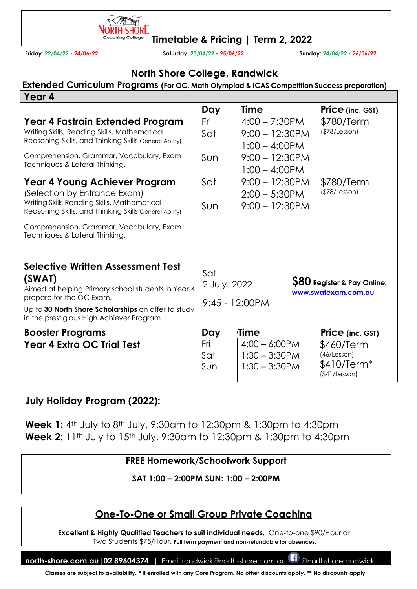

**Friday: 22/04/22 - 24/06/22 Saturday: 23/04/22 - 25/06/22 Sunday: 24/04/22 - 26/06/22** 

## **North Shore College, Randwick**

#### **Extended Curriculum Programs (For OC, Math Olympiad & ICAS Competition Success preparation)**

| Year 4                                                                                                  |                    |                   |                                                               |
|---------------------------------------------------------------------------------------------------------|--------------------|-------------------|---------------------------------------------------------------|
|                                                                                                         | Day                | Time              | Price (inc. GST)                                              |
| Year 4 Fastrain Extended Program                                                                        | Fri                | $4:00 - 7:30$ PM  | \$780/Term                                                    |
| Writing Skills, Reading Skills, Mathematical                                                            | Sat                | $9:00 - 12:30$ PM | (\$78/Lesson)                                                 |
| Reasoning Skills, and Thinking Skills (General Ability)                                                 |                    | $1:00 - 4:00$ PM  |                                                               |
| Comprehension, Grammar, Vocabulary, Exam                                                                | Sun                | $9:00 - 12:30$ PM |                                                               |
| Techniques & Lateral Thinking.                                                                          |                    | $1:00 - 4:00$ PM  |                                                               |
| <b>Year 4 Young Achiever Program</b>                                                                    | Sat                | $9:00 - 12:30$ PM | \$780/Term                                                    |
| (Selection by Entrance Exam)                                                                            |                    | $2:00 - 5:30$ PM  | (\$78/Lesson)                                                 |
| Writing Skills, Reading Skills, Mathematical<br>Reasoning Skills, and Thinking Skills (General Ability) | Sun                | $9:00 - 12:30$ PM |                                                               |
| Comprehension, Grammar, Vocabulary, Exam<br>Techniques & Lateral Thinking.                              |                    |                   |                                                               |
| Selective Written Assessment Test<br>(SWAT)<br>Aimed at helping Primary school students in Year 4       | Sat<br>2 July 2022 |                   | <b>\$80 Register &amp; Pay Online:</b><br>www.swatexam.com.au |
| prepare for the OC Exam.                                                                                | $9:45 - 12:00PM$   |                   |                                                               |
| Up to 30 North Shore Scholarships on offer to study<br>in the prestigious High Achiever Program.        |                    |                   |                                                               |
| <b>Booster Programs</b>                                                                                 | Day                | <b>Time</b>       | <b>Price</b> (inc. GST)                                       |
| <b>Year 4 Extra OC Trial Test</b>                                                                       | Fri                | $4:00 - 6:00$ PM  | \$460/Term                                                    |
|                                                                                                         | Sat                | $1:30 - 3:30$ PM  | (46/Lesson)                                                   |
|                                                                                                         | Sun                | $1:30 - 3:30$ PM  | $$410/Term*$<br>(\$41/Lesson)                                 |

### **July Holiday Program (2022):**

**Week 1:** 4th July to 8th July, 9:30am to 12:30pm & 1:30pm to 4:30pm **Week 2:** 11<sup>th</sup> July to 15<sup>th</sup> July, 9:30am to 12:30pm & 1:30pm to 4:30pm

#### **FREE Homework/Schoolwork Support**

**SAT 1:00 – 2:00PM SUN: 1:00 – 2:00PM**

# **One-To-One or Small Group Private Coaching**

**Excellent & Highly Qualified Teachers to suit individual needs.** One-to-one \$90/Hour or Two Students \$75/Hour. **Full term payment and non-refundable for absences.** 

**north-shore.com.au|02 89604374** | Emai: randwick@north-shore.com.au @northshorerandwick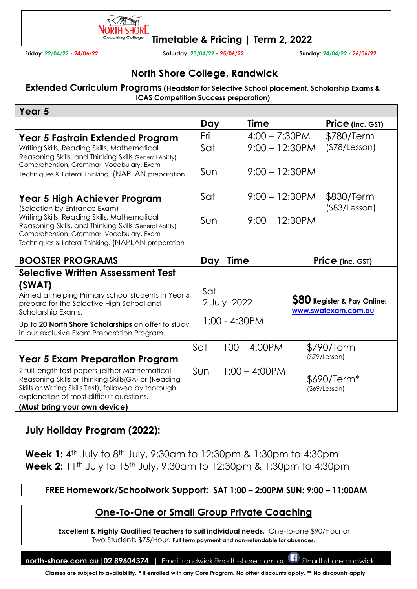

hing College **Timetable & Pricing | Term 2, 2022|** 

**Friday: 22/04/22 - 24/06/22 Saturday: 23/04/22 - 25/06/22 Sunday: 24/04/22 - 26/06/22** 

## **North Shore College, Randwick**

**Extended Curriculum Programs (Headstart for Selective School placement, Scholarship Exams & ICAS Competition Success preparation)** 

| Year 5                                                                                                                                                                                                     |     |                   |                                                               |
|------------------------------------------------------------------------------------------------------------------------------------------------------------------------------------------------------------|-----|-------------------|---------------------------------------------------------------|
|                                                                                                                                                                                                            | Day | <b>Time</b>       | Price (inc. GST)                                              |
| Year 5 Fastrain Extended Program                                                                                                                                                                           | Fri | $4:00 - 7:30$ PM  | \$780/Term                                                    |
| Writing Skills, Reading Skills, Mathematical<br>Reasoning Skills, and Thinking Skills (General Ability)<br>Comprehension, Grammar, Vocabulary, Exam                                                        | Sat | $9:00 - 12:30$ PM | (\$78/Lesson)                                                 |
| Techniques & Lateral Thinking. (NAPLAN preparation                                                                                                                                                         | Sun | $9:00 - 12:30$ PM |                                                               |
| Year 5 High Achiever Program<br>(Selection by Entrance Exam)                                                                                                                                               | Sat | $9:00 - 12:30$ PM | \$830/Term<br>(\$83/Lesson)                                   |
| Writing Skills, Reading Skills, Mathematical<br>Reasoning Skills, and Thinking Skills (General Ability)<br>Comprehension, Grammar, Vocabulary, Exam<br>Techniques & Lateral Thinking. (NAPLAN preparation  | Sun | $9:00 - 12:30$ PM |                                                               |
| <b>BOOSTER PROGRAMS</b>                                                                                                                                                                                    | Day | <b>Time</b>       | Price (inc. GST)                                              |
| <b>Selective Written Assessment Test</b>                                                                                                                                                                   |     |                   |                                                               |
| (SWAT)<br>Aimed at helping Primary school students in Year 5<br>prepare for the Selective High School and<br>Scholarship Exams.                                                                            | Sat | 2 July 2022       | <b>\$80 Register &amp; Pay Online:</b><br>www.swatexam.com.au |
| Up to 20 North Shore Scholarships on offer to study<br>in our exclusive Exam Preparation Program.                                                                                                          |     | $1:00 - 4:30PM$   |                                                               |
|                                                                                                                                                                                                            | Sat | $100 - 4:00$ PM   | \$790/Term                                                    |
| <b>Year 5 Exam Preparation Program</b>                                                                                                                                                                     |     |                   | (\$79/Lesson)                                                 |
| 2 full length test papers (either Mathematical<br>Reasoning Skills or Thinking Skills (GA) or (Reading<br>Skills or Writing Skills Test), followed by thorough<br>explanation of most difficult questions. | Sun | $1:00 - 4:00$ PM  | \$690/Term*<br>$($ \$69/Lesson $)$                            |
| (Must bring your own device)                                                                                                                                                                               |     |                   |                                                               |

## **July Holiday Program (2022):**

**Week 1:** 4th July to 8th July, 9:30am to 12:30pm & 1:30pm to 4:30pm **Week 2:** 11<sup>th</sup> July to 15<sup>th</sup> July, 9:30am to 12:30pm & 1:30pm to 4:30pm

#### **FREE Homework/Schoolwork Support: SAT 1:00 – 2:00PM SUN: 9:00 – 11:00AM**

### **One-To-One or Small Group Private Coaching**

**Excellent & Highly Qualified Teachers to suit individual needs.** One-to-one \$90/Hour or Two Students \$75/Hour. **Full term payment and non-refundable for absences.** 

**north-shore.com.au | 02 89604374** | Emai: randwick@north-shore.com.au **BD** @northshorerandwick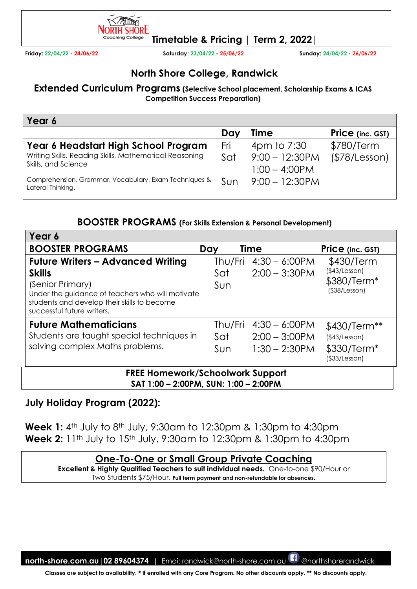

**Friday: 22/04/22 - 24/06/22 Saturday: 23/04/22 - 25/06/22 Sunday: 24/04/22 - 26/06/22** 

## **North Shore College, Randwick**

**Extended Curriculum Programs (Selective School placement, Scholarship Exams & ICAS Competition Success Preparation)** 

| Year 6                                                                        |     |                                      |                         |
|-------------------------------------------------------------------------------|-----|--------------------------------------|-------------------------|
|                                                                               | Day | <b>Time</b>                          | <b>Price</b> (inc. GST) |
| Year 6 Headstart High School Program                                          | Fri | 4pm to 7:30                          | \$780/Term              |
| Writing Skills, Reading Skills, Mathematical Reasoning<br>Skills, and Science | Sat | $9:00 - 12:30PM$<br>$1:00 - 4:00$ PM | (\$78/Lesson)           |
| Comprehension, Grammar, Vocabulary, Exam Techniques &<br>Lateral Thinking.    | Sun | $9:00 - 12:30$ PM                    |                         |

#### **BOOSTER PROGRAMS (For Skills Extension & Personal Development)**

|                                                                                                                                                                                                                | Day                   | <b>Time</b>                                              | Price (inc. GST)                                                                |
|----------------------------------------------------------------------------------------------------------------------------------------------------------------------------------------------------------------|-----------------------|----------------------------------------------------------|---------------------------------------------------------------------------------|
| <b>Future Writers - Advanced Writing</b><br><b>Skills</b><br>(Senior Primary)<br>Under the guidance of teachers who will motivate<br>students and develop their skills to become<br>successful future writers. | Thu/Fri<br>Sat<br>Sun | $4:30 - 6:00$ PM<br>$2:00 - 3:30$ PM                     | \$430/Term<br>(\$43/Lesson)<br>\$380/Term*<br>$($ \$38/Lesson $)$               |
| <b>Future Mathematicians</b><br>Students are taught special techniques in<br>solving complex Maths problems.                                                                                                   | Thu/Fri<br>Sat<br>Sun | $4:30 - 6:00$ PM<br>$2:00 - 3:00$ PM<br>$1:30 - 2:30$ PM | \$430/Term**<br>(\$43/Lesson)<br>\$330/Term <sup>*</sup><br>$($ \$33/Lesson $)$ |

**July Holiday Program (2022):** 

**Week 1:** 4th July to 8th July, 9:30am to 12:30pm & 1:30pm to 4:30pm **Week 2:** 11<sup>th</sup> July to 15<sup>th</sup> July, 9:30am to 12:30pm & 1:30pm to 4:30pm

### **One-To-One or Small Group Private Coaching**

**Excellent & Highly Qualified Teachers to suit individual needs.** One-to-one \$90/Hour or Two Students \$75/Hour. **Full term payment and non-refundable for absences.** 

**north-shore.com.au|02 89604374** | Emai: randwick@north-shore.com.au @northshorerandwick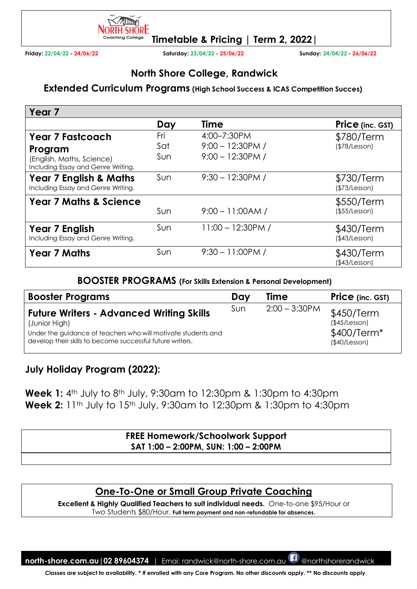

**Friday: 22/04/22 - 24/06/22 Saturday: 23/04/22 - 25/06/22 Sunday: 24/04/22 - 26/06/22** 

## **North Shore College, Randwick**

#### **Extended Curriculum Programs (High School Success & ICAS Competition Succes)**

| Year <sub>7</sub>                                                                                     |                   |                                                           |                                   |
|-------------------------------------------------------------------------------------------------------|-------------------|-----------------------------------------------------------|-----------------------------------|
|                                                                                                       | Day               | <b>Time</b>                                               | Price (inc. GST)                  |
| <b>Year 7 Fastcoach</b><br>Program<br>(English, Maths, Science)<br>Including Essay and Genre Writing. | Fri<br>Sat<br>Sun | 4:00-7:30PM<br>$9:00 - 12:30$ PM /<br>$9:00 - 12:30$ PM / | \$780/Term<br>(\$78/Lesson)       |
| <b>Year 7 English &amp; Maths</b><br>Including Essay and Genre Writing.                               | Sun               | $9:30 - 12:30$ PM /                                       | \$730/Term<br>(\$73/Lesson)       |
| <b>Year 7 Maths &amp; Science</b>                                                                     | Sun               | $9:00 - 11:00AM/$                                         | \$550/Term<br>$($ \$55/Lesson $)$ |
| Year 7 English<br>Including Essay and Genre Writing.                                                  | Sun               | $11:00 - 12:30$ PM /                                      | \$430/Term<br>(\$43/Lesson)       |
| <b>Year 7 Maths</b>                                                                                   | Sun               | $9:30 - 11:00$ PM /                                       | \$430/Term<br>(\$43/Lesson)       |

#### **BOOSTER PROGRAMS (For Skills Extension & Personal Development)**

| <b>Booster Programs</b>                                                                                                                                                                        | Day | <b>Time</b>      | <b>Price</b> (inc. GST)                                     |
|------------------------------------------------------------------------------------------------------------------------------------------------------------------------------------------------|-----|------------------|-------------------------------------------------------------|
| <b>Future Writers - Advanced Writing Skills</b><br>(Junior High)<br>Under the guidance of teachers who will motivate students and<br>develop their skills to become successful future writers. | Sun | $2:00 - 3:30$ PM | \$450/Term<br>(\$45/Lesson)<br>\$400/Term*<br>(\$40/Lesson) |

## **July Holiday Program (2022):**

**Week 1:** 4th July to 8th July, 9:30am to 12:30pm & 1:30pm to 4:30pm **Week 2:** 11<sup>th</sup> July to 15<sup>th</sup> July, 9:30am to 12:30pm & 1:30pm to 4:30pm

#### **FREE Homework/Schoolwork Support SAT 1:00 – 2:00PM, SUN: 1:00 – 2:00PM**

## **One-To-One or Small Group Private Coaching**

**Excellent & Highly Qualified Teachers to suit individual needs.** One-to-one \$95/Hour or Two Students \$80/Hour. **Full term payment and non-refundable for absences.** 

**north-shore.com.au|02 89604374** | Emai: randwick@north-shore.com.au @northshorerandwick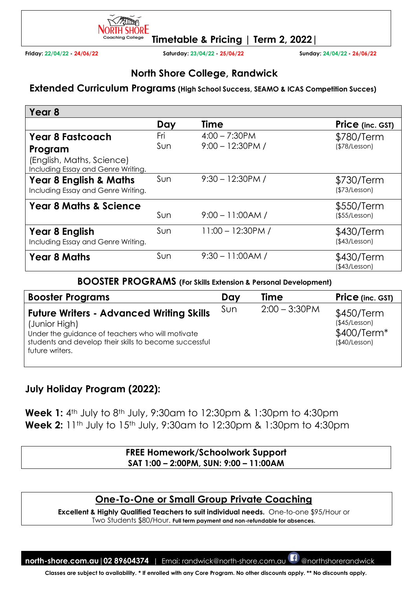

**Friday: 22/04/22 - 24/06/22 Saturday: 23/04/22 - 25/06/22 Sunday: 24/04/22 - 26/06/22** 

## **North Shore College, Randwick**

#### **Extended Curriculum Programs (High School Success, SEAMO & ICAS Competition Succes)**

| Year <sub>8</sub>                                                       |     |                      |                                   |
|-------------------------------------------------------------------------|-----|----------------------|-----------------------------------|
|                                                                         | Day | <b>Time</b>          | Price (inc. GST)                  |
| <b>Year 8 Fastcoach</b>                                                 | Fri | $4:00 - 7:30$ PM     | \$780/Term                        |
| Program                                                                 | Sun | $9:00 - 12:30PM /$   | (\$78/Lesson)                     |
| (English, Maths, Science)<br>Including Essay and Genre Writing.         |     |                      |                                   |
| <b>Year 8 English &amp; Maths</b><br>Including Essay and Genre Writing. | Sun | $9:30 - 12:30$ PM /  | \$730/Term<br>(\$73/Lesson)       |
| <b>Year 8 Maths &amp; Science</b>                                       | Sun | $9:00 - 11:00AM/$    | \$550/Term<br>$($ \$55/Lesson $)$ |
| Year 8 English<br>Including Essay and Genre Writing.                    | Sun | $11:00 - 12:30$ PM / | \$430/Term<br>(\$43/Lesson)       |
| <b>Year 8 Maths</b>                                                     | Sun | $9:30 - 11:00AM/$    | \$430/Term<br>(\$43/Lesson)       |

#### **BOOSTER PROGRAMS (For Skills Extension & Personal Development)**

| <b>Booster Programs</b>                                                                                                                                                                           | Day  | <b>Time</b>      | <b>Price</b> (inc. GST)                                     |
|---------------------------------------------------------------------------------------------------------------------------------------------------------------------------------------------------|------|------------------|-------------------------------------------------------------|
| <b>Future Writers - Advanced Writing Skills</b><br>(Junior High)<br>Under the guidance of teachers who will motivate<br>students and develop their skills to become successful<br>future writers. | Sun. | $2:00 - 3:30$ PM | \$450/Term<br>(\$45/Lesson)<br>\$400/Term*<br>(\$40/Lesson) |

### **July Holiday Program (2022):**

**Week 1:** 4th July to 8th July, 9:30am to 12:30pm & 1:30pm to 4:30pm **Week 2:** 11<sup>th</sup> July to 15<sup>th</sup> July, 9:30am to 12:30pm & 1:30pm to 4:30pm

#### **FREE Homework/Schoolwork Support SAT 1:00 – 2:00PM, SUN: 9:00 – 11:00AM**

## **One-To-One or Small Group Private Coaching**

**Excellent & Highly Qualified Teachers to suit individual needs.** One-to-one \$95/Hour or Two Students \$80/Hour. **Full term payment and non-refundable for absences.** 

**north-shore.com.au|02 89604374** | Emai: randwick@north-shore.com.au @northshorerandwick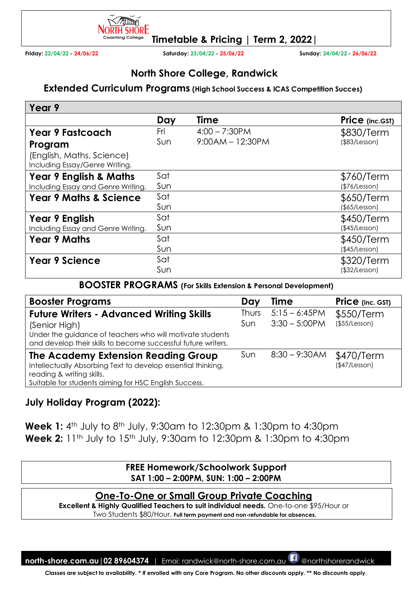

**Friday: 22/04/22 - 24/06/22 Saturday: 23/04/22 - 25/06/22 Sunday: 24/04/22 - 26/06/22** 

## **North Shore College, Randwick**

#### **Extended Curriculum Programs (High School Success & ICAS Competition Succes)**

| Year 9                                                      |     |                    |                 |
|-------------------------------------------------------------|-----|--------------------|-----------------|
|                                                             | Day | <b>Time</b>        | Price (inc.GST) |
| <b>Year 9 Fastcoach</b>                                     | Fri | $4:00 - 7:30$ PM   | \$830/Term      |
| Program                                                     | Sun | $9:00AM - 12:30PM$ | (\$83/Lesson)   |
| (English, Maths, Science)<br>Including Essay/Genre Writing. |     |                    |                 |
| <b>Year 9 English &amp; Maths</b>                           | Sat |                    | \$760/Term      |
| Including Essay and Genre Writing.                          | Sun |                    | (\$76/Lesson)   |
| <b>Year 9 Maths &amp; Science</b>                           | Sat |                    | \$650/Term      |
|                                                             | Sun |                    | (\$5/Lesson)    |
| Year 9 English                                              | Sat |                    | \$450/Term      |
| Including Essay and Genre Writing.                          | Sun |                    | (\$45/Lesson)   |
| <b>Year 9 Maths</b>                                         | Sat |                    | \$450/Term      |
|                                                             | Sun |                    | (\$45/Lesson)   |
| <b>Year 9 Science</b>                                       | Sat |                    | \$320/Term      |
|                                                             | Sun |                    | (\$32/Lesson)   |

#### **BOOSTER PROGRAMS (For Skills Extension & Personal Development)**

| <b>Booster Programs</b>                                                                                                                                                                        | Day          | <b>Time</b>                         | Price (inc. GST)            |
|------------------------------------------------------------------------------------------------------------------------------------------------------------------------------------------------|--------------|-------------------------------------|-----------------------------|
| <b>Future Writers - Advanced Writing Skills</b><br>(Senior High)<br>Under the guidance of teachers who will motivate students<br>and develop their skills to become successful future writers. | Thurs<br>Sun | $5:15 - 6:45PM$<br>$3:30 - 5:00$ PM | \$550/Term<br>(\$55/Lesson) |
| The Academy Extension Reading Group<br>Intellectually Absorbing Text to develop essential thinking,<br>reading & writing skills.<br>Suitable for students aiming for HSC English Success.      | Sun          | $8:30 - 9:30$ AM                    | \$470/Term<br>(\$47/Lesson) |

## **July Holiday Program (2022):**

**Week 1:** 4th July to 8th July, 9:30am to 12:30pm & 1:30pm to 4:30pm **Week 2:** 11<sup>th</sup> July to 15<sup>th</sup> July, 9:30am to 12:30pm & 1:30pm to 4:30pm

#### **FREE Homework/Schoolwork Support SAT 1:00 – 2:00PM, SUN: 1:00 – 2:00PM**

### **One-To-One or Small Group Private Coaching**

**Excellent & Highly Qualified Teachers to suit individual needs.** One-to-one \$95/Hour or Two Students \$80/Hour. **Full term payment and non-refundable for absences.** 

**north-shore.com.au|02 89604374** | Emai: randwick@north-shore.com.au @northshorerandwick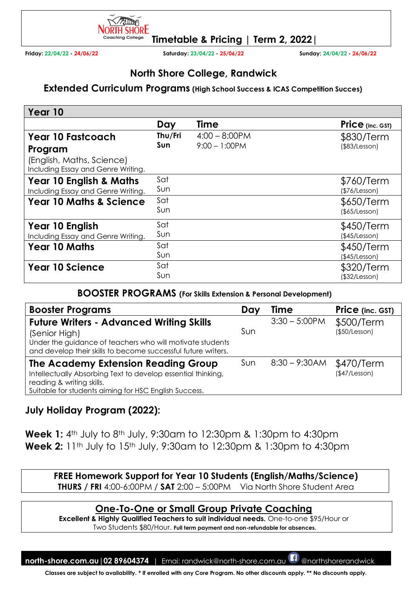

**Friday: 22/04/22 - 24/06/22 Saturday: 23/04/22 - 25/06/22 Sunday: 24/04/22 - 26/06/22** 

## **North Shore College, Randwick**

#### **Extended Curriculum Programs (High School Success & ICAS Competition Succes)**

| Year 10                                                         |         |                  |                         |
|-----------------------------------------------------------------|---------|------------------|-------------------------|
|                                                                 | Day     | <b>Time</b>      | <b>Price</b> (inc. GST) |
| <b>Year 10 Fastcoach</b>                                        | Thu/Fri | $4:00 - 8:00$ PM | \$830/Term              |
| Program                                                         | Sun     | $9:00 - 1:00$ PM | (\$83/Lesson)           |
| (English, Maths, Science)<br>Including Essay and Genre Writing. |         |                  |                         |
| <b>Year 10 English &amp; Maths</b>                              | Sat     |                  | \$760/Term              |
| Including Essay and Genre Writing.                              | Sun     |                  | (\$76/Lesson)           |
| <b>Year 10 Maths &amp; Science</b>                              | Sat     |                  | \$650/Term              |
|                                                                 | Sun     |                  | $($ \$65/Lesson $)$     |
| Year 10 English                                                 | Sat     |                  | \$450/Term              |
| Including Essay and Genre Writing.                              | Sun     |                  | (\$45/Lesson)           |
| <b>Year 10 Maths</b>                                            | Sat     |                  | \$450/Term              |
|                                                                 | Sun     |                  | (\$45/Lesson)           |
| <b>Year 10 Science</b>                                          | Sat     |                  | \$320/Term              |
|                                                                 | Sun     |                  | (\$32/Lesson)           |

#### **BOOSTER PROGRAMS (For Skills Extension & Personal Development)**

| <b>Booster Programs</b>                                                                                                                                                                        | Day | <b>Time</b>      | <b>Price</b> (inc. GST)     |
|------------------------------------------------------------------------------------------------------------------------------------------------------------------------------------------------|-----|------------------|-----------------------------|
| <b>Future Writers - Advanced Writing Skills</b><br>(Senior High)<br>Under the guidance of teachers who will motivate students<br>and develop their skills to become successful future writers. | Sun | $3:30 - 5:00$ PM | \$500/Term<br>(\$50/Lesson) |
| The Academy Extension Reading Group<br>Intellectually Absorbing Text to develop essential thinking,<br>reading & writing skills.<br>Suitable for students aiming for HSC English Success.      | Sun | $8:30 - 9:30$ AM | \$470/Term<br>(S47/Lesson)  |

### **July Holiday Program (2022):**

**Week 1:** 4th July to 8th July, 9:30am to 12:30pm & 1:30pm to 4:30pm **Week 2:** 11<sup>th</sup> July to 15<sup>th</sup> July, 9:30am to 12:30pm & 1:30pm to 4:30pm

**FREE Homework Support for Year 10 Students (English/Maths/Science) THURS / FRI** 4:00-6:00PM / **SAT** 2:00 – 5:00PM Via North Shore Student Area

## **One-To-One or Small Group Private Coaching**

**Excellent & Highly Qualified Teachers to suit individual needs.** One-to-one \$95/Hour or Two Students \$80/Hour. **Full term payment and non-refundable for absences.** 

**north-shore.com.au|02 89604374** | Emai: randwick@north-shore.com.au @northshorerandwick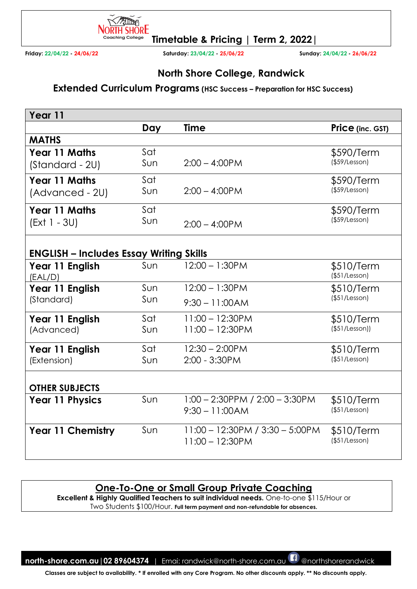

**Friday: 22/04/22 - 24/06/22 Saturday: 23/04/22 - 25/06/22 Sunday: 24/04/22 - 26/06/22** 

## **North Shore College, Randwick**

#### **Extended Curriculum Programs (HSC Success – Preparation for HSC Success)**

| Year 11                                        |            |                                                          |                                   |
|------------------------------------------------|------------|----------------------------------------------------------|-----------------------------------|
|                                                | Day        | <b>Time</b>                                              | Price (inc. GST)                  |
| <b>MATHS</b>                                   |            |                                                          |                                   |
| Year 11 Maths<br>(Standard - 2U)               | Sat<br>Sun | $2:00 - 4:00$ PM                                         | \$590/Term<br>$($ \$59/Lesson $)$ |
| <b>Year 11 Maths</b><br>(Advanced - 2U)        | Sat<br>Sun | $2:00 - 4:00$ PM                                         | \$590/Term<br>$($ \$59/Lesson $)$ |
| Year 11 Maths<br>$(Ext 1 - 3U)$                | Sat<br>Sun | $2:00 - 4:00$ PM                                         | \$590/Term<br>$($ \$59/Lesson $)$ |
| <b>ENGLISH - Includes Essay Writing Skills</b> |            |                                                          |                                   |
| Year 11 English<br>(EAL/D)                     | Sun        | $12:00 - 1:30$ PM                                        | \$510/Term<br>$($ \$51/Lesson $)$ |
| Year 11 English                                | Sun        | $12:00 - 1:30$ PM                                        | \$510/Term                        |
| (Standard)                                     | Sun        | $9:30 - 11:00AM$                                         | $($ \$51/Lesson $)$               |
| Year 11 English                                | Sat        | $11:00 - 12:30PM$                                        | \$510/Term                        |
| (Advanced)                                     | Sun        | $11:00 - 12:30PM$                                        | (\$51/Lesson))                    |
| Year 11 English                                | Sat        | $12:30 - 2:00$ PM                                        | \$510/Term                        |
| (Extension)                                    | Sun        | 2:00 - 3:30PM                                            | (\$51/Lesson)                     |
| <b>OTHER SUBJECTS</b>                          |            |                                                          |                                   |
| <b>Year 11 Physics</b>                         | Sun        | $1:00 - 2:30$ PPM / $2:00 - 3:30$ PM<br>$9:30 - 11:00AM$ | \$510/Term<br>(\$51/Lesson)       |
| <b>Year 11 Chemistry</b>                       | Sun        | $11:00 - 12:30PM / 3:30 - 5:00PM$<br>$11:00 - 12:30PM$   | \$510/Term<br>(\$51/Lesson)       |

### **One-To-One or Small Group Private Coaching**

**Excellent & Highly Qualified Teachers to suit individual needs.** One-to-one \$115/Hour or Two Students \$100/Hour. **Full term payment and non-refundable for absences.** 

**north-shore.com.au|02 89604374** | Emai: randwick@north-shore.com.au @northshorerandwick